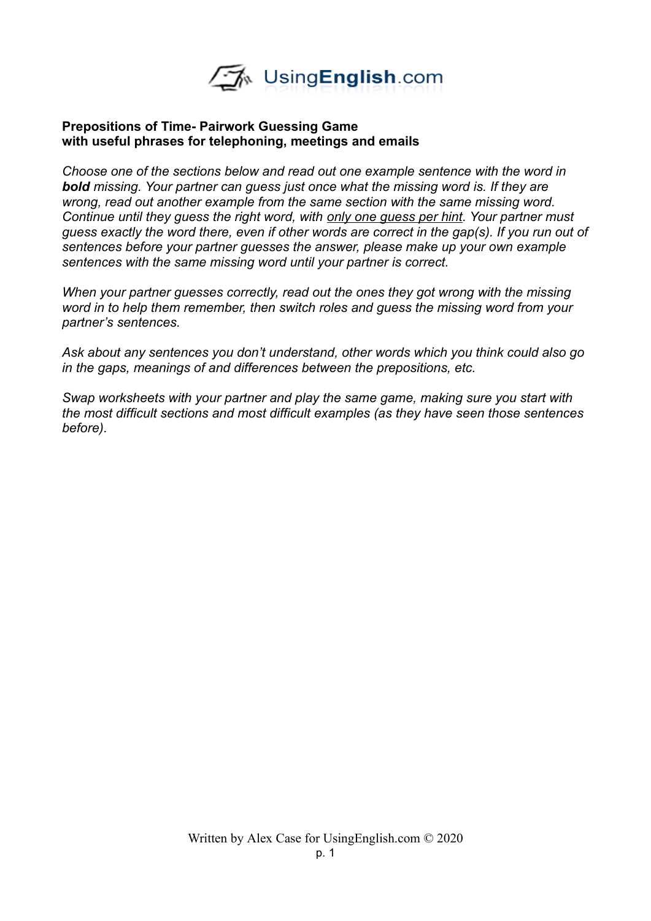

## **Prepositions of Time- Pairwork Guessing Game with useful phrases for telephoning, meetings and emails**

*Choose one of the sections below and read out one example sentence with the word in bold missing. Your partner can guess just once what the missing word is. If they are wrong, read out another example from the same section with the same missing word. Continue until they guess the right word, with only one guess per hint. Your partner must guess exactly the word there, even if other words are correct in the gap(s). If you run out of sentences before your partner guesses the answer, please make up your own example sentences with the same missing word until your partner is correct.* 

*When your partner guesses correctly, read out the ones they got wrong with the missing word in to help them remember, then switch roles and guess the missing word from your partner's sentences.* 

*Ask about any sentences you don't understand, other words which you think could also go in the gaps, meanings of and differences between the prepositions, etc.* 

*Swap worksheets with your partner and play the same game, making sure you start with the most difficult sections and most difficult examples (as they have seen those sentences before).*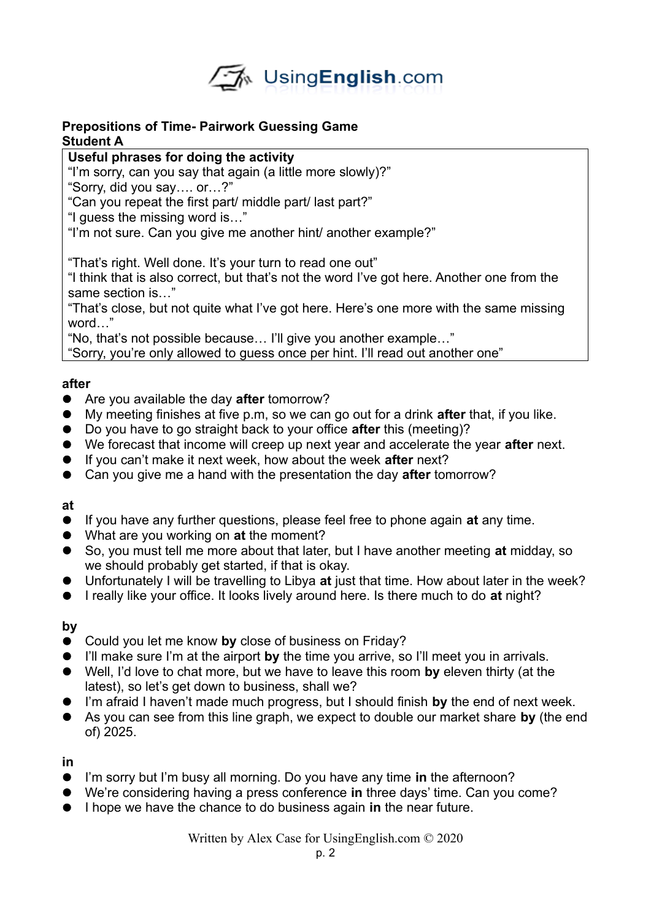

## **Prepositions of Time- Pairwork Guessing Game Student A**

# **Useful phrases for doing the activity**

"I'm sorry, can you say that again (a little more slowly)?"

"Sorry, did you say…. or…?"

"Can you repeat the first part/ middle part/ last part?"

"I guess the missing word is…"

"I'm not sure. Can you give me another hint/ another example?"

"That's right. Well done. It's your turn to read one out"

"I think that is also correct, but that's not the word I've got here. Another one from the same section is…"

"That's close, but not quite what I've got here. Here's one more with the same missing word…"

"No, that's not possible because… I'll give you another example…"

"Sorry, you're only allowed to guess once per hint. I'll read out another one"

## **after**

- Are you available the day **after** tomorrow?
- My meeting finishes at five p.m, so we can go out for a drink **after** that, if you like.
- Do you have to go straight back to your office **after** this (meeting)?
- We forecast that income will creep up next year and accelerate the year **after** next.
- If you can't make it next week, how about the week **after** next?
- Can you give me a hand with the presentation the day **after** tomorrow?

## **at**

- If you have any further questions, please feel free to phone again **at** any time.
- What are you working on **at** the moment?
- So, you must tell me more about that later, but I have another meeting **at** midday, so we should probably get started, if that is okay.
- Unfortunately I will be travelling to Libya **at** just that time. How about later in the week?
- I really like your office. It looks lively around here. Is there much to do **at** night?

# **by**

- Could you let me know **by** close of business on Friday?
- I'll make sure I'm at the airport **by** the time you arrive, so I'll meet you in arrivals.
- Well, I'd love to chat more, but we have to leave this room **by** eleven thirty (at the latest), so let's get down to business, shall we?
- I'm afraid I haven't made much progress, but I should finish **by** the end of next week.
- As you can see from this line graph, we expect to double our market share **by** (the end of) 2025.

**in**

- I'm sorry but I'm busy all morning. Do you have any time **in** the afternoon?
- We're considering having a press conference **in** three days' time. Can you come?
- I hope we have the chance to do business again **in** the near future.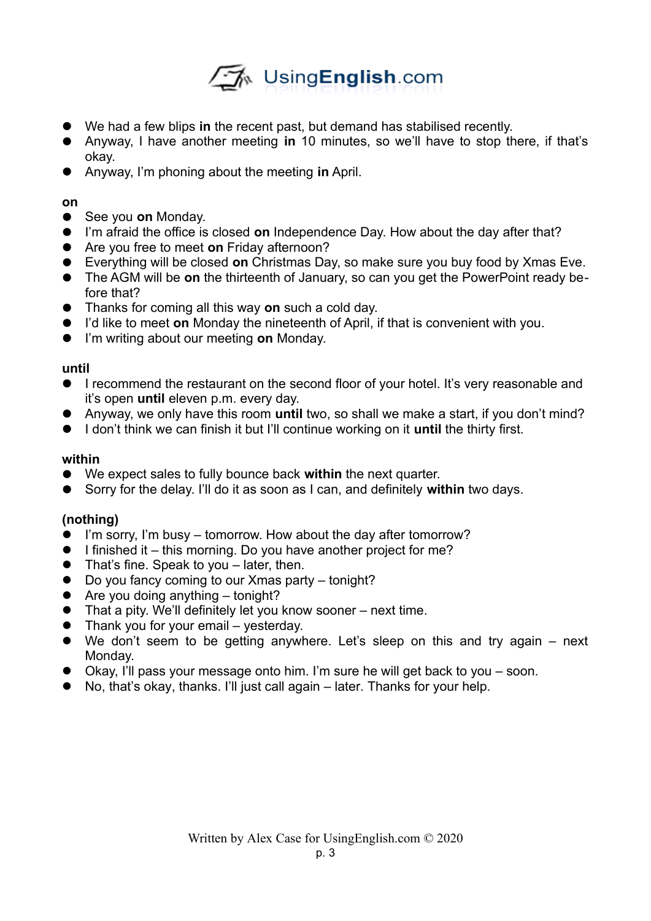

- We had a few blips **in** the recent past, but demand has stabilised recently.
- Anyway, I have another meeting **in** 10 minutes, so we'll have to stop there, if that's okay.
- Anyway, I'm phoning about the meeting **in** April.

## **on**

- See you **on** Monday.
- I'm afraid the office is closed **on** Independence Day. How about the day after that?
- Are you free to meet **on** Friday afternoon?
- Everything will be closed **on** Christmas Day, so make sure you buy food by Xmas Eve.
- The AGM will be **on** the thirteenth of January, so can you get the PowerPoint ready before that?
- Thanks for coming all this way **on** such a cold day.
- I'd like to meet **on** Monday the nineteenth of April, if that is convenient with you.
- I'm writing about our meeting **on** Monday.

## **until**

- I recommend the restaurant on the second floor of your hotel. It's very reasonable and it's open **until** eleven p.m. every day.
- Anyway, we only have this room **until** two, so shall we make a start, if you don't mind?
- I don't think we can finish it but I'll continue working on it **until** the thirty first.

## **within**

- We expect sales to fully bounce back **within** the next quarter.
- Sorry for the delay. I'll do it as soon as I can, and definitely **within** two days.

## **(nothing)**

- I'm sorry, I'm busy tomorrow. How about the day after tomorrow?
- $\bullet$  I finished it this morning. Do you have another project for me?
- That's fine. Speak to you later, then.
- Do you fancy coming to our Xmas party tonight?
- $\bullet$  Are you doing anything tonight?
- That a pity. We'll definitely let you know sooner next time.
- Thank you for your email yesterday.
- We don't seem to be getting anywhere. Let's sleep on this and try again next Monday.
- Okay, I'll pass your message onto him. I'm sure he will get back to you soon.
- No, that's okay, thanks. I'll just call again later. Thanks for your help.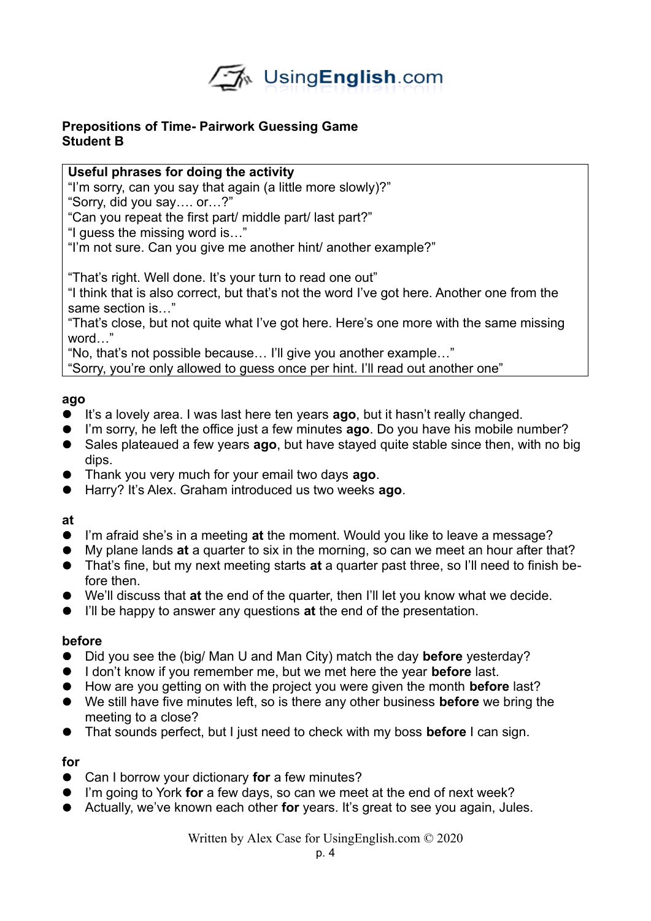

# **Prepositions of Time- Pairwork Guessing Game Student B**

# **Useful phrases for doing the activity**

"I'm sorry, can you say that again (a little more slowly)?"

"Sorry, did you say…. or…?"

"Can you repeat the first part/ middle part/ last part?"

"I guess the missing word is…"

"I'm not sure. Can you give me another hint/ another example?"

"That's right. Well done. It's your turn to read one out"

"I think that is also correct, but that's not the word I've got here. Another one from the same section is…"

"That's close, but not quite what I've got here. Here's one more with the same missing word…"

"No, that's not possible because… I'll give you another example…"

"Sorry, you're only allowed to guess once per hint. I'll read out another one"

# **ago**

- It's a lovely area. I was last here ten years **ago**, but it hasn't really changed.
- I'm sorry, he left the office just a few minutes **ago**. Do you have his mobile number?
- Sales plateaued a few years **ago**, but have stayed quite stable since then, with no big dips.
- Thank you very much for your email two days **ago**.
- Harry? It's Alex. Graham introduced us two weeks **ago**.

## **at**

- I'm afraid she's in a meeting **at** the moment. Would you like to leave a message?
- My plane lands **at** a quarter to six in the morning, so can we meet an hour after that?
- That's fine, but my next meeting starts **at** a quarter past three, so I'll need to finish before then.
- We'll discuss that **at** the end of the quarter, then I'll let you know what we decide.
- I'll be happy to answer any questions **at** the end of the presentation.

## **before**

- Did you see the (big/ Man U and Man City) match the day **before** yesterday?
- I don't know if you remember me, but we met here the year **before** last.
- How are you getting on with the project you were given the month **before** last?
- We still have five minutes left, so is there any other business **before** we bring the meeting to a close?
- That sounds perfect, but I just need to check with my boss **before** I can sign.

# **for**

- Can I borrow your dictionary **for** a few minutes?
- I'm going to York **for** a few days, so can we meet at the end of next week?
- Actually, we've known each other **for** years. It's great to see you again, Jules.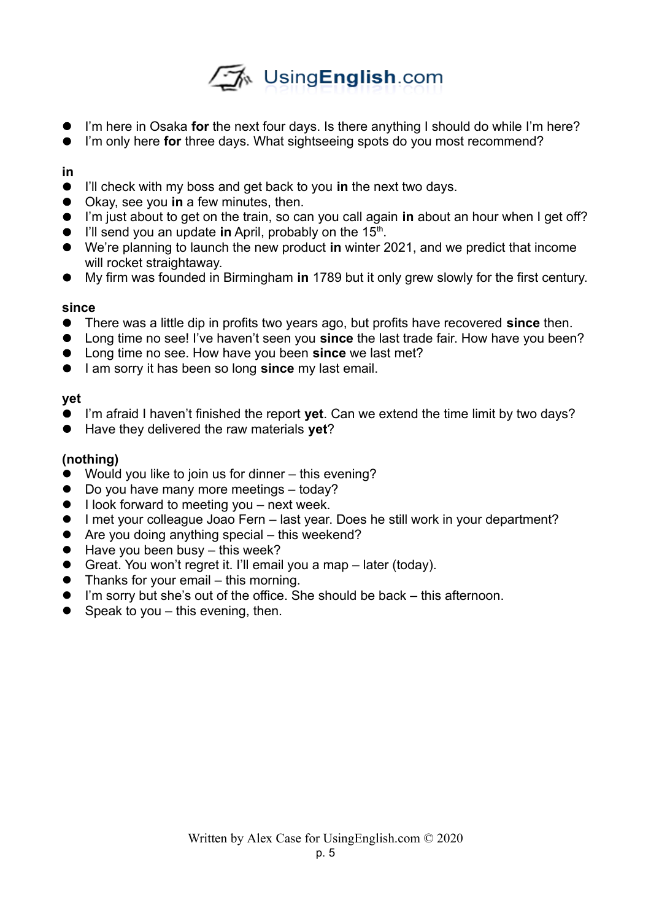# √A UsingEnglish.com

- I'm here in Osaka **for** the next four days. Is there anything I should do while I'm here?
- I'm only here **for** three days. What sightseeing spots do you most recommend?

# **in**

- I'll check with my boss and get back to you **in** the next two days.
- Okay, see you **in** a few minutes, then.
- I'm just about to get on the train, so can you call again **in** about an hour when I get off?
- **•** I'll send you an update in April, probably on the 15<sup>th</sup>.
- We're planning to launch the new product **in** winter 2021, and we predict that income will rocket straightaway.
- My firm was founded in Birmingham **in** 1789 but it only grew slowly for the first century.

# **since**

- There was a little dip in profits two years ago, but profits have recovered **since** then.
- Long time no see! I've haven't seen you **since** the last trade fair. How have you been?
- Long time no see. How have you been **since** we last met?
- **I** am sorry it has been so long **since** my last email.

# **yet**

- I'm afraid I haven't finished the report **yet**. Can we extend the time limit by two days?
- Have they delivered the raw materials **yet**?

# **(nothing)**

- Would you like to join us for dinner this evening?
- Do you have many more meetings today?
- **I look forward to meeting you next week.**
- I met your colleague Joao Fern last year. Does he still work in your department?
- Are you doing anything special this weekend?
- $\bullet$  Have you been busy this week?
- Great. You won't regret it. I'll email you a map later (today).
- Thanks for your email this morning.
- I'm sorry but she's out of the office. She should be back this afternoon.
- $\bullet$  Speak to you this evening, then.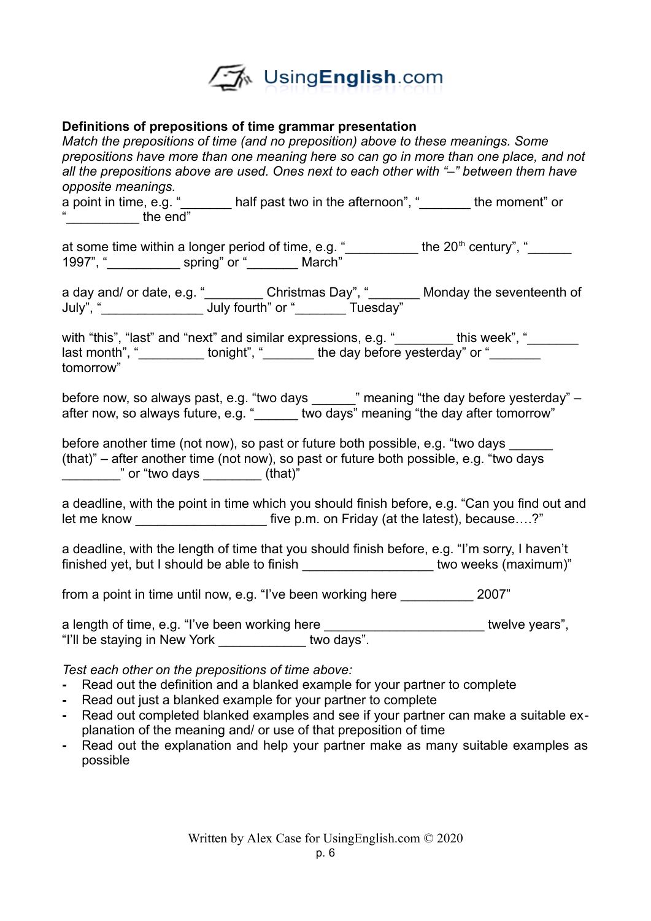

## **Definitions of prepositions of time grammar presentation**

*Match the prepositions of time (and no preposition) above to these meanings. Some prepositions have more than one meaning here so can go in more than one place, and not all the prepositions above are used. Ones next to each other with "–" between them have opposite meanings.* a point in time, e.g. " **Letter 20** half past two in the afternoon", " **Letternoon**" or  $\overline{\phantom{a}}$  the end" at some time within a longer period of time, e.g.  $"$  \_\_\_\_\_\_\_\_\_\_\_ the 20<sup>th</sup> century",  $"$ 1997", "\_\_\_\_\_\_\_\_\_\_ spring" or "\_\_\_\_\_\_\_ March" a day and/ or date, e.g. " **Example 20 Library Christmas Day", " Example 20 Library Andragy the seventeenth of** July", "\_\_\_\_\_\_\_\_\_\_\_\_\_\_ July fourth" or "\_\_\_\_\_\_\_ Tuesday" with "this", "last" and "next" and similar expressions, e.g. "\_\_\_\_\_\_\_\_ this week", "\_\_\_\_\_\_\_ last month", "\_\_\_\_\_\_\_\_\_\_ tonight", "\_\_\_\_\_\_\_\_\_ the day before yesterday" or "\_\_\_\_\_\_ tomorrow" before now, so always past, e.g. "two days \_\_\_\_\_\_" meaning "the day before yesterday" – after now, so always future, e.g. "\_\_\_\_\_\_ two days" meaning "the day after tomorrow" before another time (not now), so past or future both possible, e.g. "two days (that)" – after another time (not now), so past or future both possible, e.g. "two days \_\_\_\_\_\_\_\_" or "two days \_\_\_\_\_\_\_\_ (that)" a deadline, with the point in time which you should finish before, e.g. "Can you find out and let me know **EXACTE FIGURE FIGURE 1** five p.m. on Friday (at the latest), because....?" a deadline, with the length of time that you should finish before, e.g. "I'm sorry, I haven't finished yet, but I should be able to finish the state of the state of two weeks (maximum)" from a point in time until now, e.g. "I've been working here \_\_\_\_\_\_\_\_\_\_ 2007"

a length of time, e.g. "I've been working here exactled a length of time, e.g. "I've been working here "I'll be staying in New York \_\_\_\_\_\_\_\_\_\_\_\_ two days".

*Test each other on the prepositions of time above:*

- **-** Read out the definition and a blanked example for your partner to complete
- **-** Read out just a blanked example for your partner to complete
- **-** Read out completed blanked examples and see if your partner can make a suitable explanation of the meaning and/ or use of that preposition of time
- **-** Read out the explanation and help your partner make as many suitable examples as possible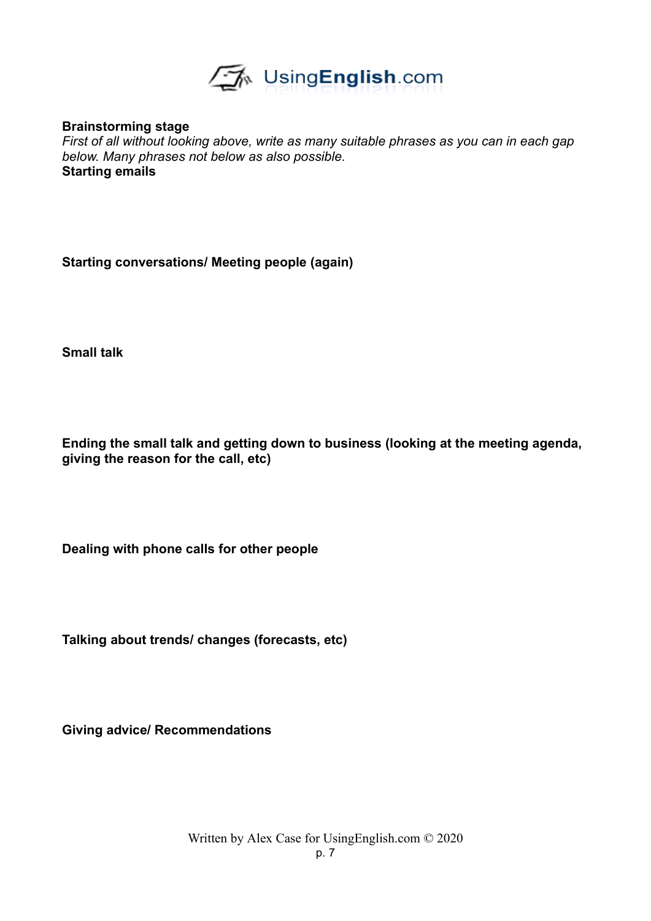

**Brainstorming stage**

*First of all without looking above, write as many suitable phrases as you can in each gap below. Many phrases not below as also possible.*  **Starting emails**

**Starting conversations/ Meeting people (again)**

**Small talk**

**Ending the small talk and getting down to business (looking at the meeting agenda, giving the reason for the call, etc)**

**Dealing with phone calls for other people**

**Talking about trends/ changes (forecasts, etc)**

**Giving advice/ Recommendations**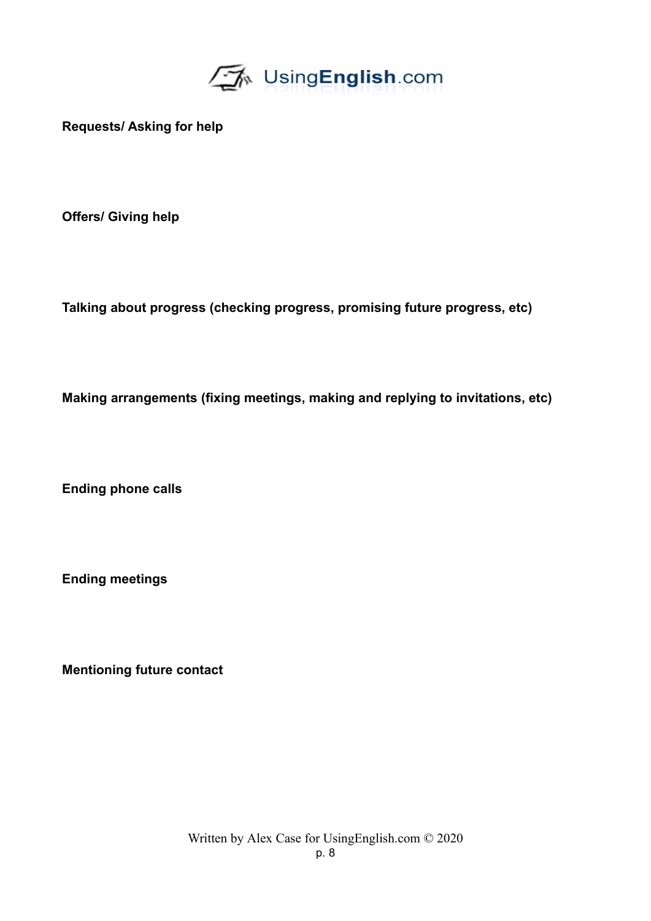

**Requests/ Asking for help**

**Offers/ Giving help**

**Talking about progress (checking progress, promising future progress, etc)**

**Making arrangements (fixing meetings, making and replying to invitations, etc)**

**Ending phone calls**

**Ending meetings**

**Mentioning future contact**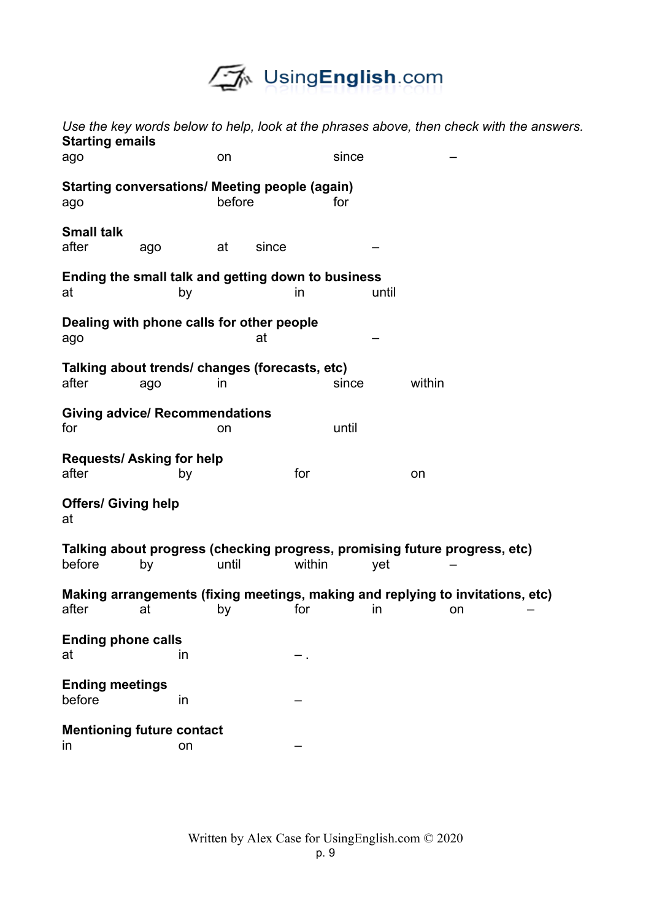

| Use the key words below to help, look at the phrases above, then check with the answers.<br><b>Starting emails</b> |     |             |        |       |        |  |
|--------------------------------------------------------------------------------------------------------------------|-----|-------------|--------|-------|--------|--|
| ago                                                                                                                |     | on          | since  |       |        |  |
| <b>Starting conversations/ Meeting people (again)</b><br>ago                                                       |     | before      | for    |       |        |  |
| <b>Small talk</b><br>after                                                                                         | ago | at<br>since |        |       |        |  |
| Ending the small talk and getting down to business<br>at                                                           | by  |             | in     | until |        |  |
| Dealing with phone calls for other people<br>ago                                                                   |     | at          |        |       |        |  |
| Talking about trends/ changes (forecasts, etc)<br>after                                                            | ago | <i>in</i>   | since  |       | within |  |
| <b>Giving advice/ Recommendations</b><br>for                                                                       |     | on          | until  |       |        |  |
| <b>Requests/Asking for help</b><br>after                                                                           | by  |             | for    |       | on     |  |
| <b>Offers/ Giving help</b><br>at                                                                                   |     |             |        |       |        |  |
| Talking about progress (checking progress, promising future progress, etc)<br>before                               | by  | until       | within | yet   |        |  |
| Making arrangements (fixing meetings, making and replying to invitations, etc)<br>after at by for in on            |     |             |        |       |        |  |
| <b>Ending phone calls</b><br>at                                                                                    | in  |             |        |       |        |  |
| <b>Ending meetings</b><br>before                                                                                   | in  |             |        |       |        |  |
| <b>Mentioning future contact</b><br>in                                                                             | on  |             |        |       |        |  |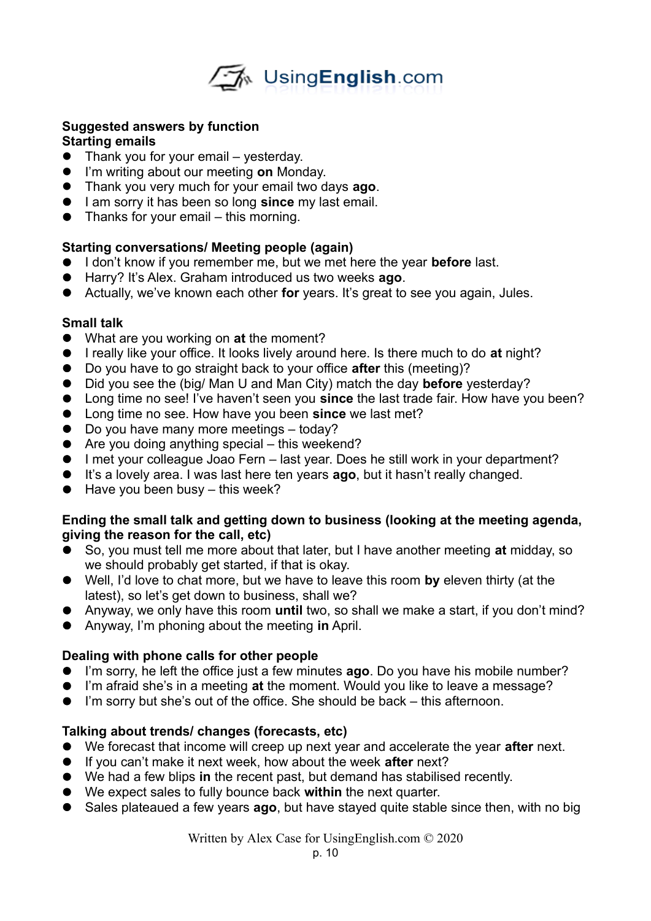

## **Suggested answers by function Starting emails**

- Thank you for your email yesterday.
- I'm writing about our meeting **on** Monday.
- Thank you very much for your email two days **ago**.
- **I** am sorry it has been so long **since** my last email.
- $\bullet$  Thanks for your email this morning.

# **Starting conversations/ Meeting people (again)**

- I don't know if you remember me, but we met here the year **before** last.
- Harry? It's Alex. Graham introduced us two weeks **ago**.
- Actually, we've known each other **for** years. It's great to see you again, Jules.

# **Small talk**

- What are you working on **at** the moment?
- I really like your office. It looks lively around here. Is there much to do at night?
- Do you have to go straight back to your office **after** this (meeting)?
- Did you see the (big/ Man U and Man City) match the day **before** yesterday?
- Long time no see! I've haven't seen you **since** the last trade fair. How have you been?
- Long time no see. How have you been **since** we last met?
- Do you have many more meetings today?
- Are you doing anything special this weekend?
- I met your colleague Joao Fern last year. Does he still work in your department?
- It's a lovely area. I was last here ten years **ago**, but it hasn't really changed.
- $\bullet$  Have you been busy this week?

## **Ending the small talk and getting down to business (looking at the meeting agenda, giving the reason for the call, etc)**

- So, you must tell me more about that later, but I have another meeting **at** midday, so we should probably get started, if that is okay.
- Well, I'd love to chat more, but we have to leave this room **by** eleven thirty (at the latest), so let's get down to business, shall we?
- Anyway, we only have this room **until** two, so shall we make a start, if you don't mind?
- Anyway, I'm phoning about the meeting **in** April.

# **Dealing with phone calls for other people**

- I'm sorry, he left the office just a few minutes **ago**. Do you have his mobile number?
- I'm afraid she's in a meeting **at** the moment. Would you like to leave a message?
- I'm sorry but she's out of the office. She should be back this afternoon.

# **Talking about trends/ changes (forecasts, etc)**

- We forecast that income will creep up next year and accelerate the year **after** next.
- If you can't make it next week, how about the week **after** next?
- We had a few blips **in** the recent past, but demand has stabilised recently.
- We expect sales to fully bounce back **within** the next quarter.
- Sales plateaued a few years **ago**, but have stayed quite stable since then, with no big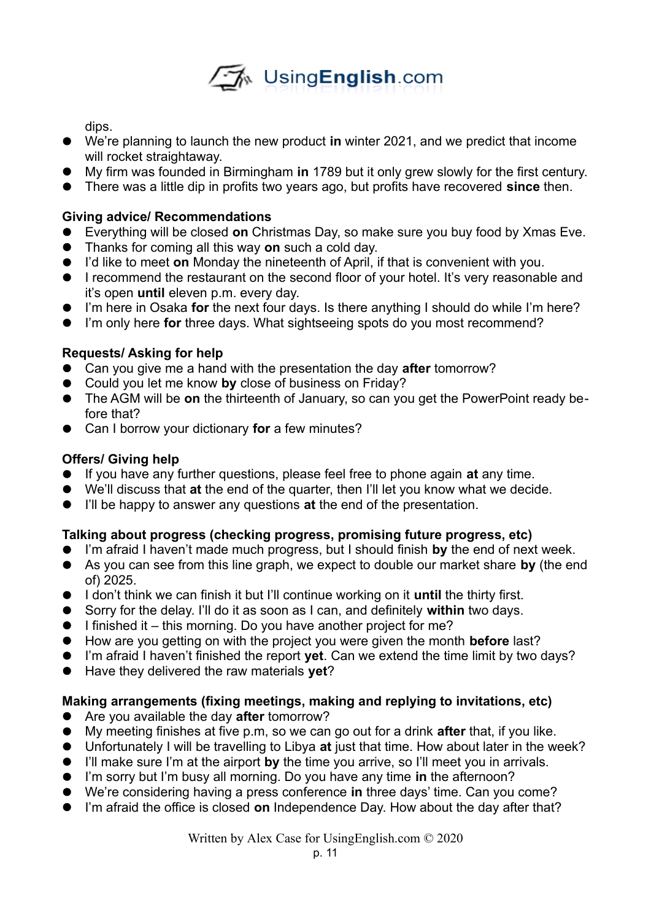

dips.

- We're planning to launch the new product **in** winter 2021, and we predict that income will rocket straightaway.
- My firm was founded in Birmingham **in** 1789 but it only grew slowly for the first century.
- There was a little dip in profits two years ago, but profits have recovered **since** then.

# **Giving advice/ Recommendations**

- Everything will be closed **on** Christmas Day, so make sure you buy food by Xmas Eve.
- Thanks for coming all this way **on** such a cold day.
- I'd like to meet **on** Monday the nineteenth of April, if that is convenient with you.
- **I** recommend the restaurant on the second floor of your hotel. It's very reasonable and it's open **until** eleven p.m. every day.
- I'm here in Osaka **for** the next four days. Is there anything I should do while I'm here?
- I'm only here **for** three days. What sightseeing spots do you most recommend?

# **Requests/ Asking for help**

- Can you give me a hand with the presentation the day **after** tomorrow?
- Could you let me know **by** close of business on Friday?
- The AGM will be **on** the thirteenth of January, so can you get the PowerPoint ready before that?
- Can I borrow your dictionary **for** a few minutes?

# **Offers/ Giving help**

- If you have any further questions, please feel free to phone again **at** any time.
- We'll discuss that **at** the end of the quarter, then I'll let you know what we decide.
- I'll be happy to answer any questions **at** the end of the presentation.

# **Talking about progress (checking progress, promising future progress, etc)**

- I'm afraid I haven't made much progress, but I should finish **by** the end of next week.
- As you can see from this line graph, we expect to double our market share **by** (the end of) 2025.
- I don't think we can finish it but I'll continue working on it **until** the thirty first.
- Sorry for the delay. I'll do it as soon as I can, and definitely **within** two days.
- $\bullet$  I finished it this morning. Do you have another project for me?
- How are you getting on with the project you were given the month **before** last?
- I'm afraid I haven't finished the report **yet**. Can we extend the time limit by two days?
- Have they delivered the raw materials **yet**?

# **Making arrangements (fixing meetings, making and replying to invitations, etc)**

- Are you available the day **after** tomorrow?
- My meeting finishes at five p.m, so we can go out for a drink **after** that, if you like.
- Unfortunately I will be travelling to Libya **at** just that time. How about later in the week?
- I'll make sure I'm at the airport **by** the time you arrive, so I'll meet you in arrivals.
- I'm sorry but I'm busy all morning. Do you have any time **in** the afternoon?
- We're considering having a press conference **in** three days' time. Can you come?
- I'm afraid the office is closed **on** Independence Day. How about the day after that?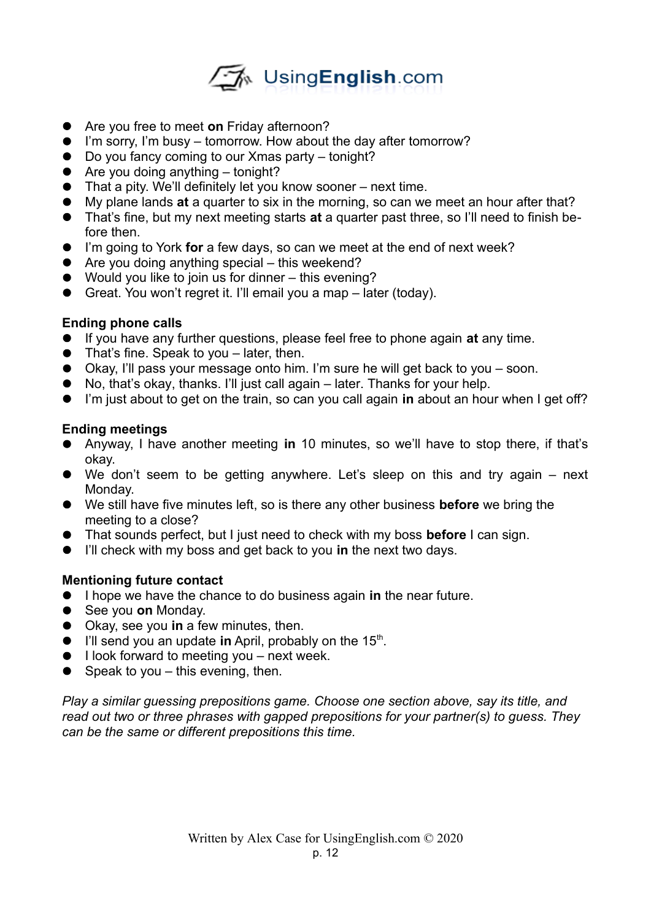

- Are you free to meet **on** Friday afternoon?
- I'm sorry, I'm busy tomorrow. How about the day after tomorrow?
- Do you fancy coming to our Xmas party tonight?
- $\bullet$  Are you doing anything tonight?
- That a pity. We'll definitely let you know sooner next time.
- My plane lands **at** a quarter to six in the morning, so can we meet an hour after that?
- That's fine, but my next meeting starts **at** a quarter past three, so I'll need to finish before then.
- I'm going to York **for** a few days, so can we meet at the end of next week?
- $\bullet$  Are you doing anything special this weekend?
- Would you like to join us for dinner this evening?
- Great. You won't regret it. I'll email you a map later (today).

# **Ending phone calls**

- If you have any further questions, please feel free to phone again **at** any time.
- That's fine. Speak to you later, then.
- Okay, I'll pass your message onto him. I'm sure he will get back to you soon.
- No, that's okay, thanks. I'll just call again later. Thanks for your help.
- I'm just about to get on the train, so can you call again **in** about an hour when I get off?

# **Ending meetings**

- Anyway, I have another meeting **in** 10 minutes, so we'll have to stop there, if that's okay.
- We don't seem to be getting anywhere. Let's sleep on this and try again next Monday.
- We still have five minutes left, so is there any other business **before** we bring the meeting to a close?
- That sounds perfect, but I just need to check with my boss **before** I can sign.
- I'll check with my boss and get back to you **in** the next two days.

# **Mentioning future contact**

- I hope we have the chance to do business again **in** the near future.
- See you **on** Monday.
- Okay, see you **in** a few minutes, then.
- I'll send you an update in April, probably on the 15<sup>th</sup>.
- $\bullet$  I look forward to meeting you next week.
- $\bullet$  Speak to you this evening, then.

*Play a similar guessing prepositions game. Choose one section above, say its title, and read out two or three phrases with gapped prepositions for your partner(s) to guess. They can be the same or different prepositions this time.*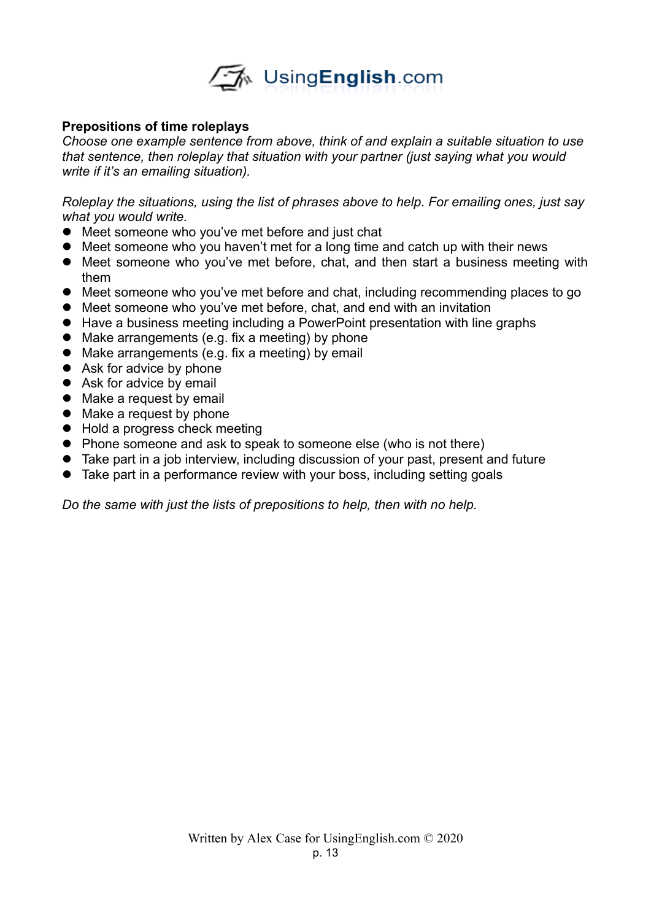

## **Prepositions of time roleplays**

*Choose one example sentence from above, think of and explain a suitable situation to use that sentence, then roleplay that situation with your partner (just saying what you would write if it's an emailing situation).* 

*Roleplay the situations, using the list of phrases above to help. For emailing ones, just say what you would write.* 

- Meet someone who you've met before and just chat
- Meet someone who you haven't met for a long time and catch up with their news
- Meet someone who you've met before, chat, and then start a business meeting with them
- Meet someone who you've met before and chat, including recommending places to go
- Meet someone who you've met before, chat, and end with an invitation
- Have a business meeting including a PowerPoint presentation with line graphs
- Make arrangements (e.g. fix a meeting) by phone
- Make arrangements (e.g. fix a meeting) by email
- Ask for advice by phone
- Ask for advice by email
- Make a request by email
- Make a request by phone
- Hold a progress check meeting
- Phone someone and ask to speak to someone else (who is not there)
- Take part in a job interview, including discussion of your past, present and future
- Take part in a performance review with your boss, including setting goals

*Do the same with just the lists of prepositions to help, then with no help.*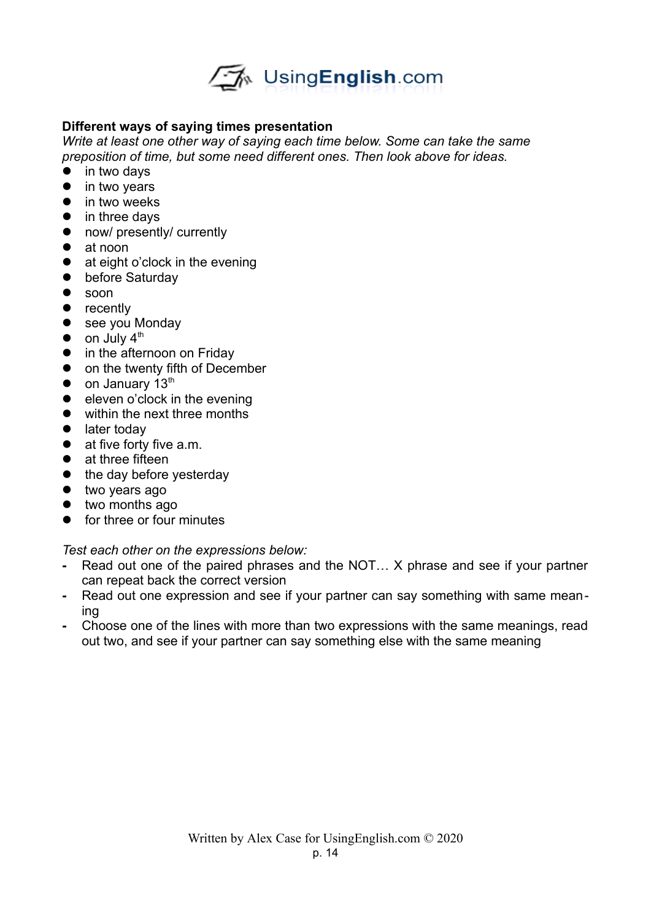

# **Different ways of saying times presentation**

*Write at least one other way of saying each time below. Some can take the same preposition of time, but some need different ones. Then look above for ideas.* 

- in two days
- $\bullet$  in two vears
- $\bullet$  in two weeks
- in three days
- now/ presently/ currently
- at noon
- $\bullet$  at eight o'clock in the evening
- **•** before Saturday
- **•** soon
- recently
- see you Monday
- $\bullet$  on July 4<sup>th</sup>
- in the afternoon on Friday
- on the twenty fifth of December
- $\bullet$  on January 13<sup>th</sup>
- $\bullet$  eleven o'clock in the evening
- within the next three months
- later today
- $\bullet$  at five forty five a.m.
- at three fifteen
- the day before vesterday
- $\bullet$  two years ago
- two months ago
- **•** for three or four minutes

#### *Test each other on the expressions below:*

- **-** Read out one of the paired phrases and the NOT… X phrase and see if your partner can repeat back the correct version
- **-** Read out one expression and see if your partner can say something with same meaning
- **-** Choose one of the lines with more than two expressions with the same meanings, read out two, and see if your partner can say something else with the same meaning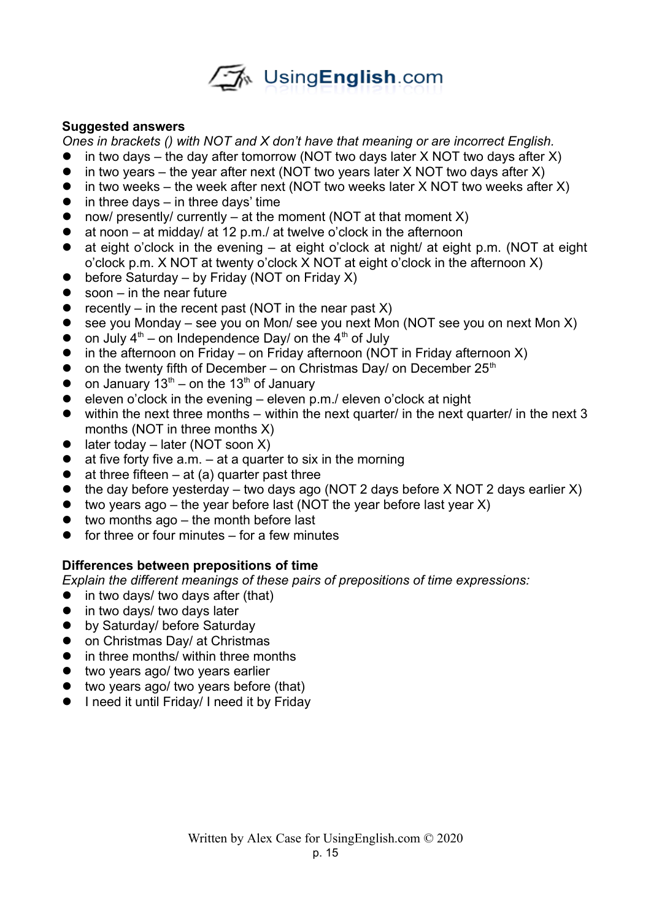

## **Suggested answers**

*Ones in brackets () with NOT and X don't have that meaning or are incorrect English.*

- $\bullet$  in two days the day after tomorrow (NOT two days later X NOT two days after X)
- $\bullet$  in two years the year after next (NOT two years later X NOT two days after X)
- $\bullet$  in two weeks the week after next (NOT two weeks later X NOT two weeks after X)
- $\bullet$  in three days in three days' time
- now/ presently/ currently at the moment (NOT at that moment  $X$ )
- $\bullet$  at noon at midday/ at 12 p.m./ at twelve o'clock in the afternoon
- $\bullet$  at eight o'clock in the evening at eight o'clock at night/ at eight p.m. (NOT at eight o'clock p.m. X NOT at twenty o'clock X NOT at eight o'clock in the afternoon X)
- $\bullet$  before Saturday by Friday (NOT on Friday X)
- $\bullet$  soon in the near future
- recently in the recent past (NOT in the near past  $X$ )
- $\bullet$  see you Monday see you on Mon/ see you next Mon (NOT see you on next Mon X)
- on July  $4<sup>th</sup>$  on Independence Day/ on the  $4<sup>th</sup>$  of July
- $\bullet$  in the afternoon on Friday on Friday afternoon (NOT in Friday afternoon X)
- $\bullet$  on the twenty fifth of December on Christmas Day/ on December 25<sup>th</sup>
- on January  $13^{th}$  on the 13<sup>th</sup> of January
- eleven o'clock in the evening eleven  $p.m./$  eleven o'clock at night
- $\bullet$  within the next three months within the next quarter/ in the next quarter/ in the next 3 months (NOT in three months X)
- $\bullet$  later today later (NOT soon X)
- $\bullet$  at five forty five a.m.  $-$  at a quarter to six in the morning
- $\bullet$  at three fifteen at (a) quarter past three
- $\bullet$  the day before yesterday two days ago (NOT 2 days before X NOT 2 days earlier X)
- $\bullet$  two years ago the year before last (NOT the year before last year X)
- $\bullet$  two months ago the month before last
- $\bullet$  for three or four minutes for a few minutes

# **Differences between prepositions of time**

*Explain the different meanings of these pairs of prepositions of time expressions:*

- $\bullet$  in two days/ two days after (that)
- in two days/ two days later
- by Saturday/ before Saturday
- on Christmas Day/ at Christmas
- in three months/ within three months
- **•** two years ago/ two years earlier
- two years ago/ two years before (that)
- I need it until Friday/ I need it by Friday